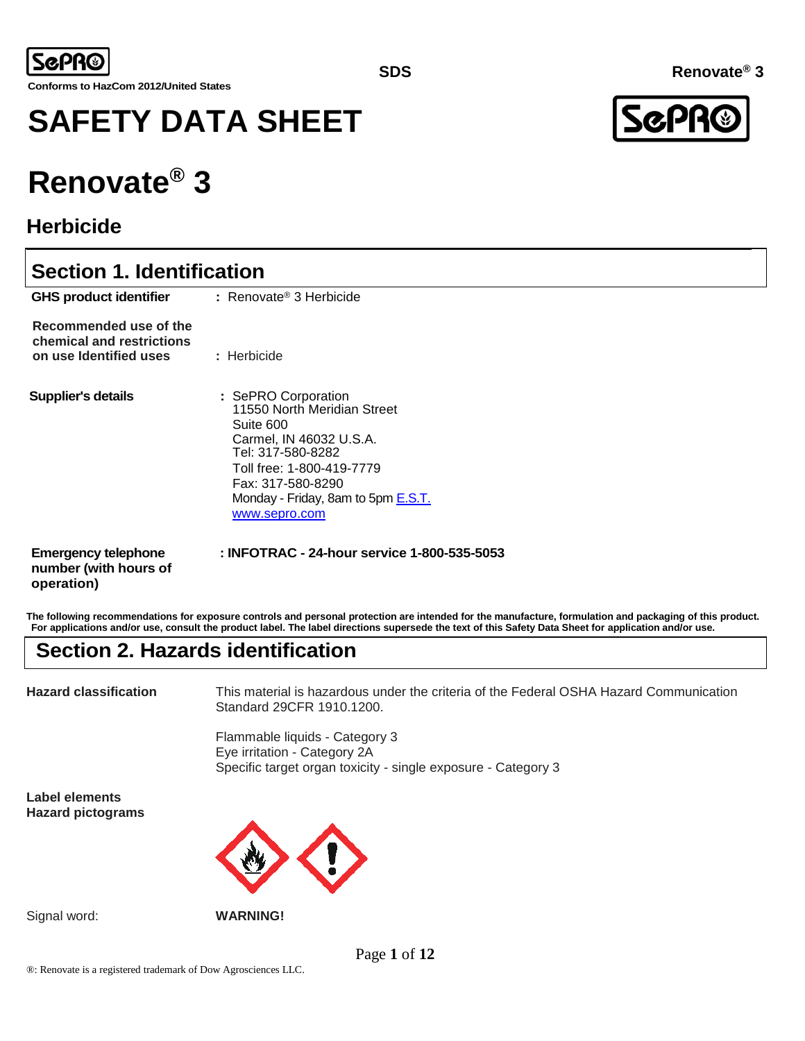

# **SAFETY DATA SHEET**

# **Renovate® 3**

## **Herbicide**

## **Section 1. Identification**

| <b>GHS product identifier</b>                                                 | $\therefore$ Renovate® 3 Herbicide                                                                                                                                                                                       |
|-------------------------------------------------------------------------------|--------------------------------------------------------------------------------------------------------------------------------------------------------------------------------------------------------------------------|
| Recommended use of the<br>chemical and restrictions<br>on use Identified uses | : Herbicide                                                                                                                                                                                                              |
| <b>Supplier's details</b>                                                     | : SePRO Corporation<br>11550 North Meridian Street<br>Suite 600<br>Carmel, IN 46032 U.S.A.<br>Tel: 317-580-8282<br>Toll free: 1-800-419-7779<br>Fax: 317-580-8290<br>Monday - Friday, 8am to 5pm E.S.T.<br>www.sepro.com |
| <b>Emergency telephone</b><br>number (with hours of                           | : INFOTRAC - 24-hour service 1-800-535-5053                                                                                                                                                                              |

**The following recommendations for exposure controls and personal protection are intended for the manufacture, formulation and packaging of this product. For applications and/or use, consult the product label. The label directions supersede the text of this Safety Data Sheet for application and/or use.**

## **Section 2. Hazards identification**

**operation)**

**Hazard classification** This material is hazardous under the criteria of the Federal OSHA Hazard Communication Standard 29CFR 1910.1200.

> Flammable liquids - Category 3 Eye irritation - Category 2A Specific target organ toxicity - single exposure - Category 3

**Label elements Hazard pictograms**



Signal word: **WARNING!**

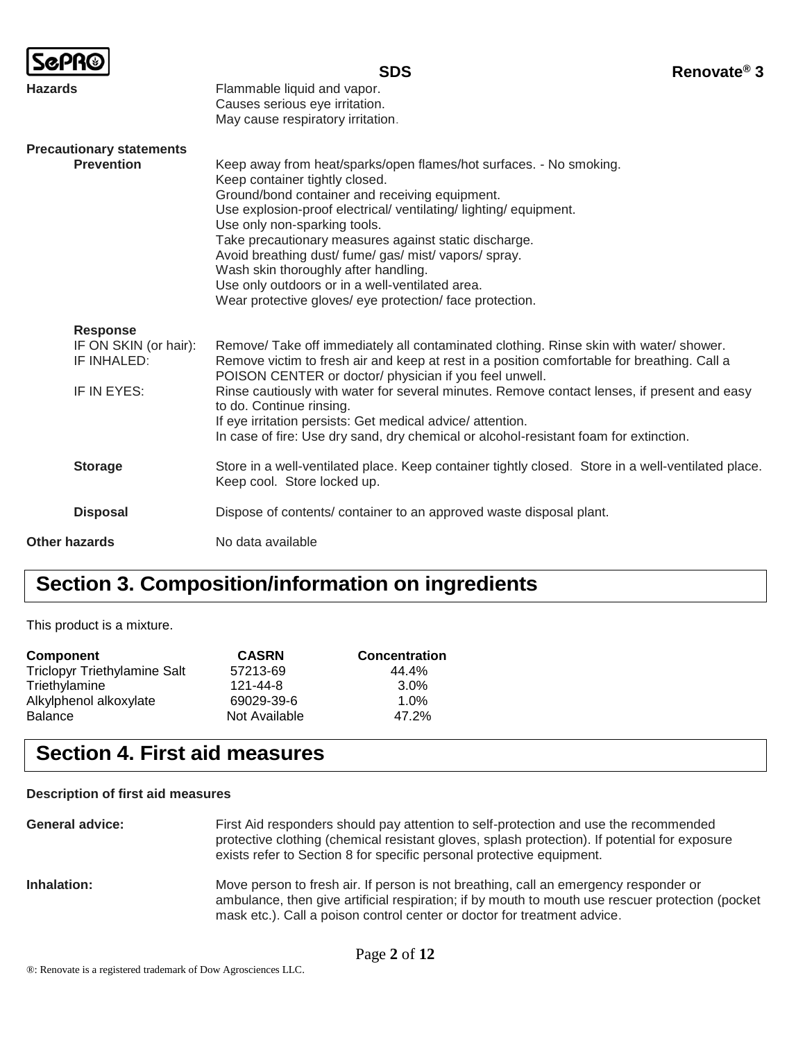|                                                                        | <b>SDS</b>                                                                                                                                                                                                                                                                                                                                                                                                                                                                                                                        | Renovate <sup>®</sup> 3 |
|------------------------------------------------------------------------|-----------------------------------------------------------------------------------------------------------------------------------------------------------------------------------------------------------------------------------------------------------------------------------------------------------------------------------------------------------------------------------------------------------------------------------------------------------------------------------------------------------------------------------|-------------------------|
| <b>Hazards</b>                                                         | Flammable liquid and vapor.<br>Causes serious eye irritation.<br>May cause respiratory irritation.                                                                                                                                                                                                                                                                                                                                                                                                                                |                         |
| <b>Precautionary statements</b><br><b>Prevention</b>                   | Keep away from heat/sparks/open flames/hot surfaces. - No smoking.<br>Keep container tightly closed.<br>Ground/bond container and receiving equipment.<br>Use explosion-proof electrical/ventilating/lighting/equipment.<br>Use only non-sparking tools.<br>Take precautionary measures against static discharge.<br>Avoid breathing dust/ fume/ gas/ mist/ vapors/ spray.<br>Wash skin thoroughly after handling.<br>Use only outdoors or in a well-ventilated area.<br>Wear protective gloves/ eye protection/ face protection. |                         |
| <b>Response</b><br>IF ON SKIN (or hair):<br>IF INHALED:<br>IF IN EYES: | Remove/ Take off immediately all contaminated clothing. Rinse skin with water/ shower.<br>Remove victim to fresh air and keep at rest in a position comfortable for breathing. Call a<br>POISON CENTER or doctor/ physician if you feel unwell.<br>Rinse cautiously with water for several minutes. Remove contact lenses, if present and easy<br>to do. Continue rinsing.<br>If eye irritation persists: Get medical advice/attention.<br>In case of fire: Use dry sand, dry chemical or alcohol-resistant foam for extinction.  |                         |
| <b>Storage</b>                                                         | Store in a well-ventilated place. Keep container tightly closed. Store in a well-ventilated place.<br>Keep cool. Store locked up.                                                                                                                                                                                                                                                                                                                                                                                                 |                         |
| <b>Disposal</b>                                                        | Dispose of contents/ container to an approved waste disposal plant.                                                                                                                                                                                                                                                                                                                                                                                                                                                               |                         |
| <b>Other hazards</b>                                                   | No data available                                                                                                                                                                                                                                                                                                                                                                                                                                                                                                                 |                         |

## **Section 3. Composition/information on ingredients**

This product is a mixture.

| Component                           | <b>CASRN</b>  | <b>Concentration</b> |
|-------------------------------------|---------------|----------------------|
| <b>Triclopyr Triethylamine Salt</b> | 57213-69      | 44.4%                |
| Triethylamine                       | 121-44-8      | $3.0\%$              |
| Alkylphenol alkoxylate              | 69029-39-6    | 1.0%                 |
| <b>Balance</b>                      | Not Available | 47.2%                |

## **Section 4. First aid measures**

#### **Description of first aid measures**

| <b>General advice:</b> | First Aid responders should pay attention to self-protection and use the recommended<br>protective clothing (chemical resistant gloves, splash protection). If potential for exposure<br>exists refer to Section 8 for specific personal protective equipment.       |
|------------------------|----------------------------------------------------------------------------------------------------------------------------------------------------------------------------------------------------------------------------------------------------------------------|
| Inhalation:            | Move person to fresh air. If person is not breathing, call an emergency responder or<br>ambulance, then give artificial respiration; if by mouth to mouth use rescuer protection (pocket<br>mask etc.). Call a poison control center or doctor for treatment advice. |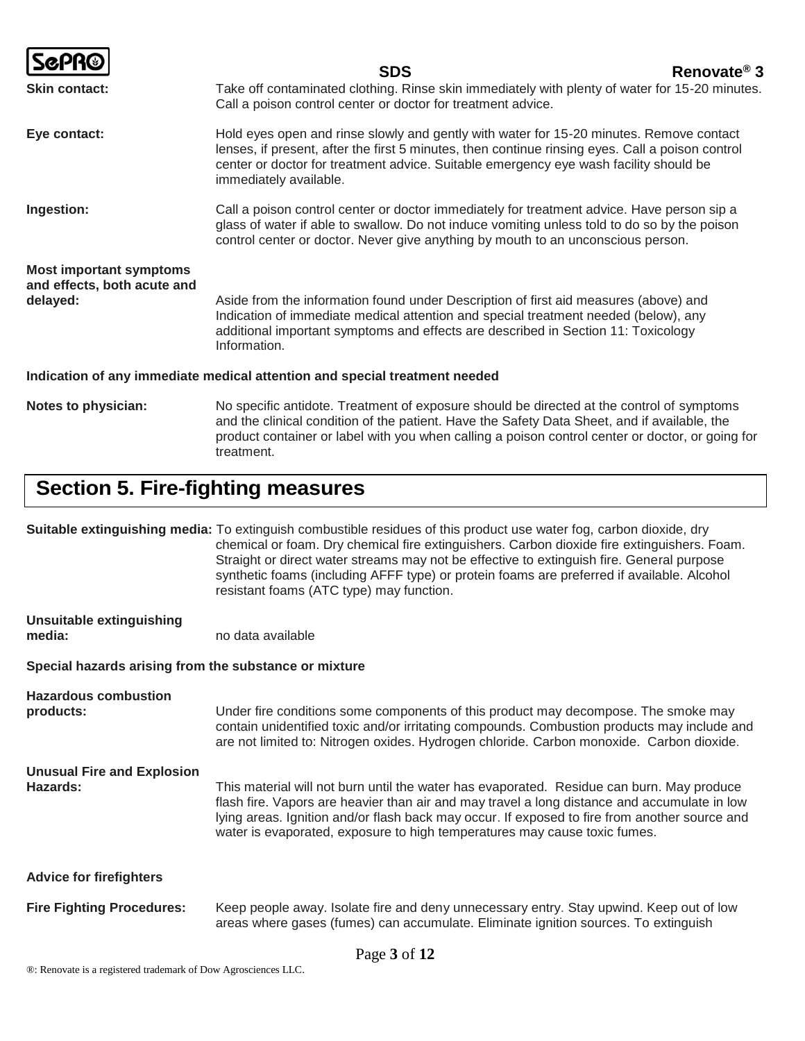|                                                                            | Renovate <sup>®</sup> 3<br><b>SDS</b>                                                                                                                                                                                                                                                                          |  |
|----------------------------------------------------------------------------|----------------------------------------------------------------------------------------------------------------------------------------------------------------------------------------------------------------------------------------------------------------------------------------------------------------|--|
| <b>Skin contact:</b>                                                       | Take off contaminated clothing. Rinse skin immediately with plenty of water for 15-20 minutes.<br>Call a poison control center or doctor for treatment advice.                                                                                                                                                 |  |
| Eye contact:                                                               | Hold eyes open and rinse slowly and gently with water for 15-20 minutes. Remove contact<br>lenses, if present, after the first 5 minutes, then continue rinsing eyes. Call a poison control<br>center or doctor for treatment advice. Suitable emergency eye wash facility should be<br>immediately available. |  |
| Ingestion:                                                                 | Call a poison control center or doctor immediately for treatment advice. Have person sip a<br>glass of water if able to swallow. Do not induce vomiting unless told to do so by the poison<br>control center or doctor. Never give anything by mouth to an unconscious person.                                 |  |
| <b>Most important symptoms</b><br>and effects, both acute and<br>delayed:  | Aside from the information found under Description of first aid measures (above) and<br>Indication of immediate medical attention and special treatment needed (below), any<br>additional important symptoms and effects are described in Section 11: Toxicology<br>Information.                               |  |
| Indication of any immediate medical attention and special treatment needed |                                                                                                                                                                                                                                                                                                                |  |
| Notes to physician:                                                        | No specific antidote. Treatment of exposure should be directed at the control of symptoms<br>and the clinical condition of the patient. Have the Safety Data Sheet, and if available, the<br>product container or label with you when calling a poison control center or doctor, or going for                  |  |

## **Section 5. Fire-fighting measures**

treatment.

|                                                       | Suitable extinguishing media: To extinguish combustible residues of this product use water fog, carbon dioxide, dry<br>chemical or foam. Dry chemical fire extinguishers. Carbon dioxide fire extinguishers. Foam.<br>Straight or direct water streams may not be effective to extinguish fire. General purpose<br>synthetic foams (including AFFF type) or protein foams are preferred if available. Alcohol<br>resistant foams (ATC type) may function. |  |
|-------------------------------------------------------|-----------------------------------------------------------------------------------------------------------------------------------------------------------------------------------------------------------------------------------------------------------------------------------------------------------------------------------------------------------------------------------------------------------------------------------------------------------|--|
| <b>Unsuitable extinguishing</b><br>media:             | no data available                                                                                                                                                                                                                                                                                                                                                                                                                                         |  |
| Special hazards arising from the substance or mixture |                                                                                                                                                                                                                                                                                                                                                                                                                                                           |  |
| <b>Hazardous combustion</b><br>products:              | Under fire conditions some components of this product may decompose. The smoke may<br>contain unidentified toxic and/or irritating compounds. Combustion products may include and<br>are not limited to: Nitrogen oxides. Hydrogen chloride. Carbon monoxide. Carbon dioxide.                                                                                                                                                                             |  |
| <b>Unusual Fire and Explosion</b><br>Hazards:         | This material will not burn until the water has evaporated. Residue can burn. May produce<br>flash fire. Vapors are heavier than air and may travel a long distance and accumulate in low<br>lying areas. Ignition and/or flash back may occur. If exposed to fire from another source and<br>water is evaporated, exposure to high temperatures may cause toxic fumes.                                                                                   |  |
| <b>Advice for firefighters</b>                        |                                                                                                                                                                                                                                                                                                                                                                                                                                                           |  |
| <b>Fire Fighting Procedures:</b>                      | Keep people away. Isolate fire and deny unnecessary entry. Stay upwind. Keep out of low<br>areas where gases (fumes) can accumulate. Eliminate ignition sources. To extinguish                                                                                                                                                                                                                                                                            |  |
| Page 3 of 12                                          |                                                                                                                                                                                                                                                                                                                                                                                                                                                           |  |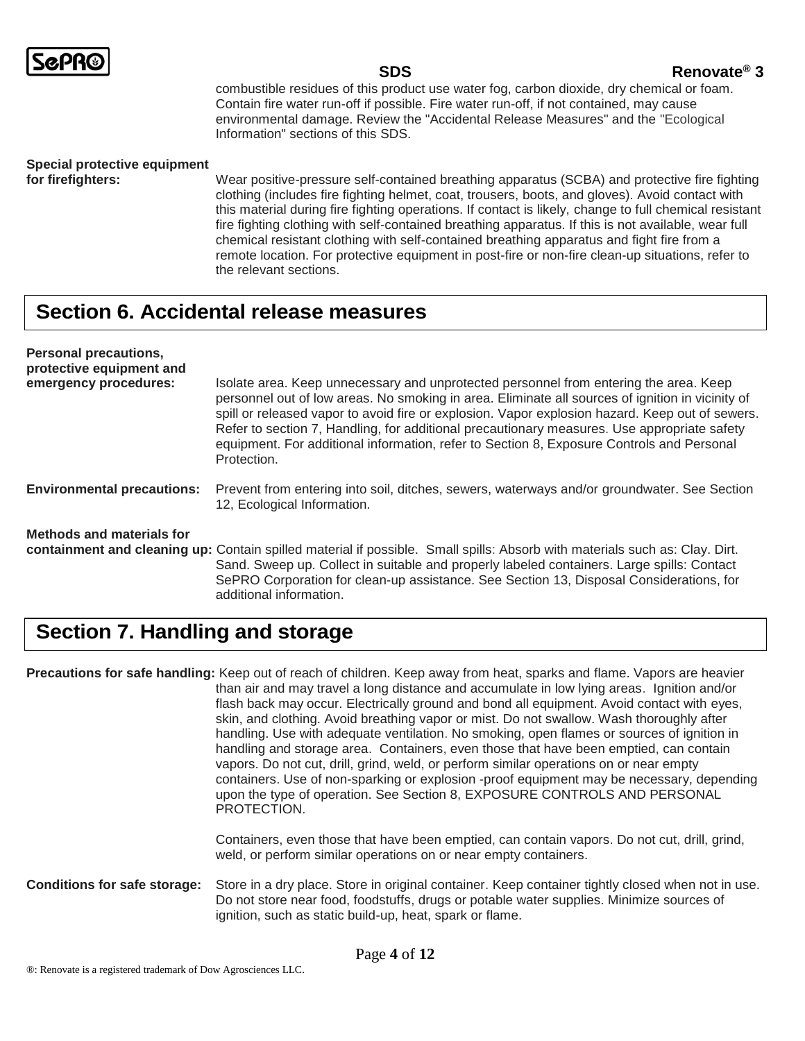

#### **SDS Renovate® 3**

combustible residues of this product use water fog, carbon dioxide, dry chemical or foam. Contain fire water run-off if possible. Fire water run-off, if not contained, may cause environmental damage. Review the "Accidental Release Measures" and the "Ecological Information" sections of this SDS.

## **Special protective equipment**

**for firefighters:** Wear positive-pressure self-contained breathing apparatus (SCBA) and protective fire fighting clothing (includes fire fighting helmet, coat, trousers, boots, and gloves). Avoid contact with this material during fire fighting operations. If contact is likely, change to full chemical resistant fire fighting clothing with self-contained breathing apparatus. If this is not available, wear full chemical resistant clothing with self-contained breathing apparatus and fight fire from a remote location. For protective equipment in post-fire or non-fire clean-up situations, refer to the relevant sections.

#### **Section 6. Accidental release measures**

| <b>Personal precautions,</b><br>protective equipment and |                                                                                                                                                                                                                                                                                                                                                                                                                                                                                                         |
|----------------------------------------------------------|---------------------------------------------------------------------------------------------------------------------------------------------------------------------------------------------------------------------------------------------------------------------------------------------------------------------------------------------------------------------------------------------------------------------------------------------------------------------------------------------------------|
| emergency procedures:                                    | Isolate area. Keep unnecessary and unprotected personnel from entering the area. Keep<br>personnel out of low areas. No smoking in area. Eliminate all sources of ignition in vicinity of<br>spill or released vapor to avoid fire or explosion. Vapor explosion hazard. Keep out of sewers.<br>Refer to section 7, Handling, for additional precautionary measures. Use appropriate safety<br>equipment. For additional information, refer to Section 8, Exposure Controls and Personal<br>Protection. |
| <b>Environmental precautions:</b>                        | Prevent from entering into soil, ditches, sewers, waterways and/or groundwater. See Section<br>12, Ecological Information.                                                                                                                                                                                                                                                                                                                                                                              |
| Methods and materials for                                | containment and cleaning up: Contain spilled material if possible. Small spills: Absorb with materials such as: Clay. Dirt.<br>Sand. Sweep up. Collect in suitable and properly labeled containers. Large spills: Contact<br>SePRO Corporation for clean-up assistance. See Section 13, Disposal Considerations, for                                                                                                                                                                                    |

## **Section 7. Handling and storage**

additional information.

| Precautions for safe handling: Keep out of reach of children. Keep away from heat, sparks and flame. Vapors are heavier<br>than air and may travel a long distance and accumulate in low lying areas. Ignition and/or<br>flash back may occur. Electrically ground and bond all equipment. Avoid contact with eyes,<br>skin, and clothing. Avoid breathing vapor or mist. Do not swallow. Wash thoroughly after<br>handling. Use with adequate ventilation. No smoking, open flames or sources of ignition in<br>handling and storage area. Containers, even those that have been emptied, can contain<br>vapors. Do not cut, drill, grind, weld, or perform similar operations on or near empty<br>containers. Use of non-sparking or explosion -proof equipment may be necessary, depending<br>upon the type of operation. See Section 8, EXPOSURE CONTROLS AND PERSONAL<br>PROTECTION. |
|-------------------------------------------------------------------------------------------------------------------------------------------------------------------------------------------------------------------------------------------------------------------------------------------------------------------------------------------------------------------------------------------------------------------------------------------------------------------------------------------------------------------------------------------------------------------------------------------------------------------------------------------------------------------------------------------------------------------------------------------------------------------------------------------------------------------------------------------------------------------------------------------|
| Containers, even those that have been emptied, can contain vapors. Do not cut, drill, grind,<br>weld, or perform similar operations on or near empty containers.                                                                                                                                                                                                                                                                                                                                                                                                                                                                                                                                                                                                                                                                                                                          |
| <b>Conditions for safe storage:</b> Store in a dry place. Store in original container. Keep container tightly closed when not in use                                                                                                                                                                                                                                                                                                                                                                                                                                                                                                                                                                                                                                                                                                                                                      |

**rrage:** Store in a dry place. Store in original container. Keep container tightly closed when not in use. Do not store near food, foodstuffs, drugs or potable water supplies. Minimize sources of ignition, such as static build-up, heat, spark or flame.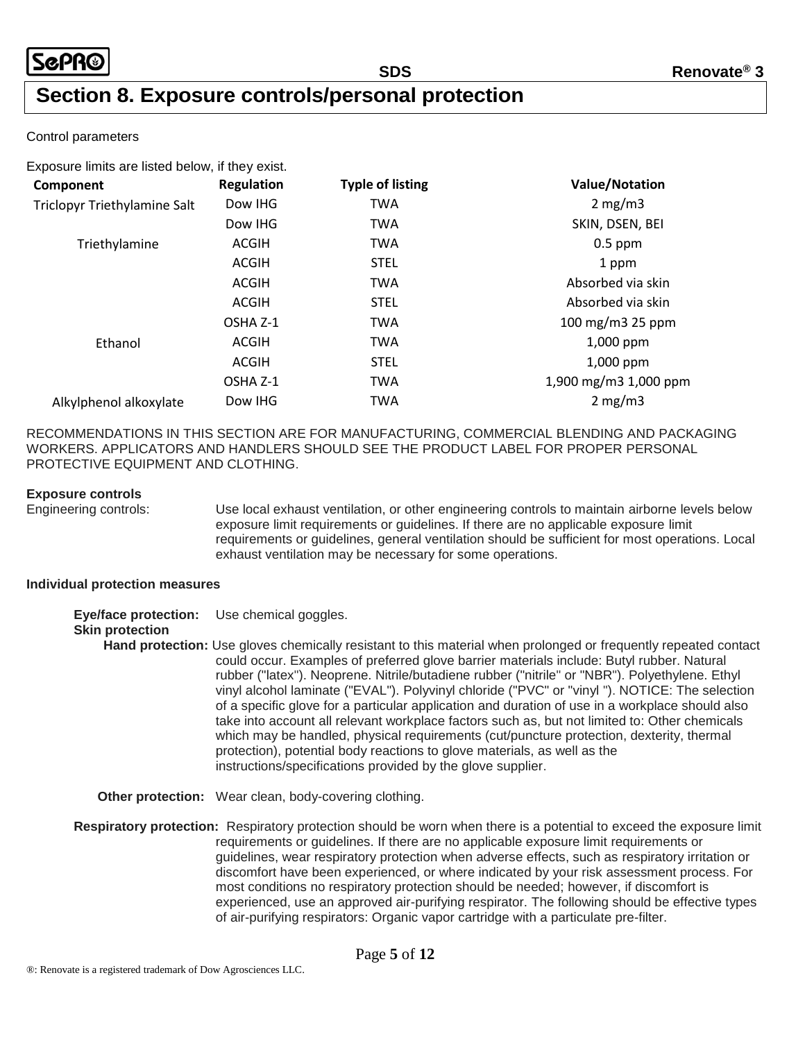### **Section 8. Exposure controls/personal protection**

#### Control parameters

| Exposure limits are listed below, if they exist. |                   |                         |                       |
|--------------------------------------------------|-------------------|-------------------------|-----------------------|
| Component                                        | <b>Regulation</b> | <b>Typle of listing</b> | <b>Value/Notation</b> |
| Triclopyr Triethylamine Salt                     | Dow IHG           | <b>TWA</b>              | $2 \text{ mg/m}$      |
|                                                  | Dow IHG           | <b>TWA</b>              | SKIN, DSEN, BEI       |
| Triethylamine                                    | ACGIH             | <b>TWA</b>              | $0.5$ ppm             |
|                                                  | <b>ACGIH</b>      | <b>STEL</b>             | 1 ppm                 |
|                                                  | ACGIH             | <b>TWA</b>              | Absorbed via skin     |
|                                                  | <b>ACGIH</b>      | <b>STEL</b>             | Absorbed via skin     |
|                                                  | OSHA Z-1          | <b>TWA</b>              | 100 mg/m3 25 ppm      |
| Ethanol                                          | <b>ACGIH</b>      | <b>TWA</b>              | $1,000$ ppm           |
|                                                  | ACGIH             | <b>STEL</b>             | $1,000$ ppm           |
|                                                  | OSHA Z-1          | TWA                     | 1,900 mg/m3 1,000 ppm |
| Alkylphenol alkoxylate                           | Dow IHG           | <b>TWA</b>              | 2 mg/m3               |
|                                                  |                   |                         |                       |

RECOMMENDATIONS IN THIS SECTION ARE FOR MANUFACTURING, COMMERCIAL BLENDING AND PACKAGING WORKERS. APPLICATORS AND HANDLERS SHOULD SEE THE PRODUCT LABEL FOR PROPER PERSONAL PROTECTIVE EQUIPMENT AND CLOTHING.

#### **Exposure controls**

Engineering controls: Use local exhaust ventilation, or other engineering controls to maintain airborne levels below exposure limit requirements or guidelines. If there are no applicable exposure limit requirements or guidelines, general ventilation should be sufficient for most operations. Local exhaust ventilation may be necessary for some operations.

#### **Individual protection measures**

**Eye/face protection:** Use chemical goggles.

#### **Skin protection**

**Hand protection:** Use gloves chemically resistant to this material when prolonged or frequently repeated contact could occur. Examples of preferred glove barrier materials include: Butyl rubber. Natural rubber ("latex"). Neoprene. Nitrile/butadiene rubber ("nitrile" or "NBR"). Polyethylene. Ethyl vinyl alcohol laminate ("EVAL"). Polyvinyl chloride ("PVC" or "vinyl "). NOTICE: The selection of a specific glove for a particular application and duration of use in a workplace should also take into account all relevant workplace factors such as, but not limited to: Other chemicals which may be handled, physical requirements (cut/puncture protection, dexterity, thermal protection), potential body reactions to glove materials, as well as the instructions/specifications provided by the glove supplier.

**Other protection:** Wear clean, body-covering clothing.

**Respiratory protection:** Respiratory protection should be worn when there is a potential to exceed the exposure limit requirements or guidelines. If there are no applicable exposure limit requirements or guidelines, wear respiratory protection when adverse effects, such as respiratory irritation or discomfort have been experienced, or where indicated by your risk assessment process. For most conditions no respiratory protection should be needed; however, if discomfort is experienced, use an approved air-purifying respirator. The following should be effective types of air-purifying respirators: Organic vapor cartridge with a particulate pre-filter.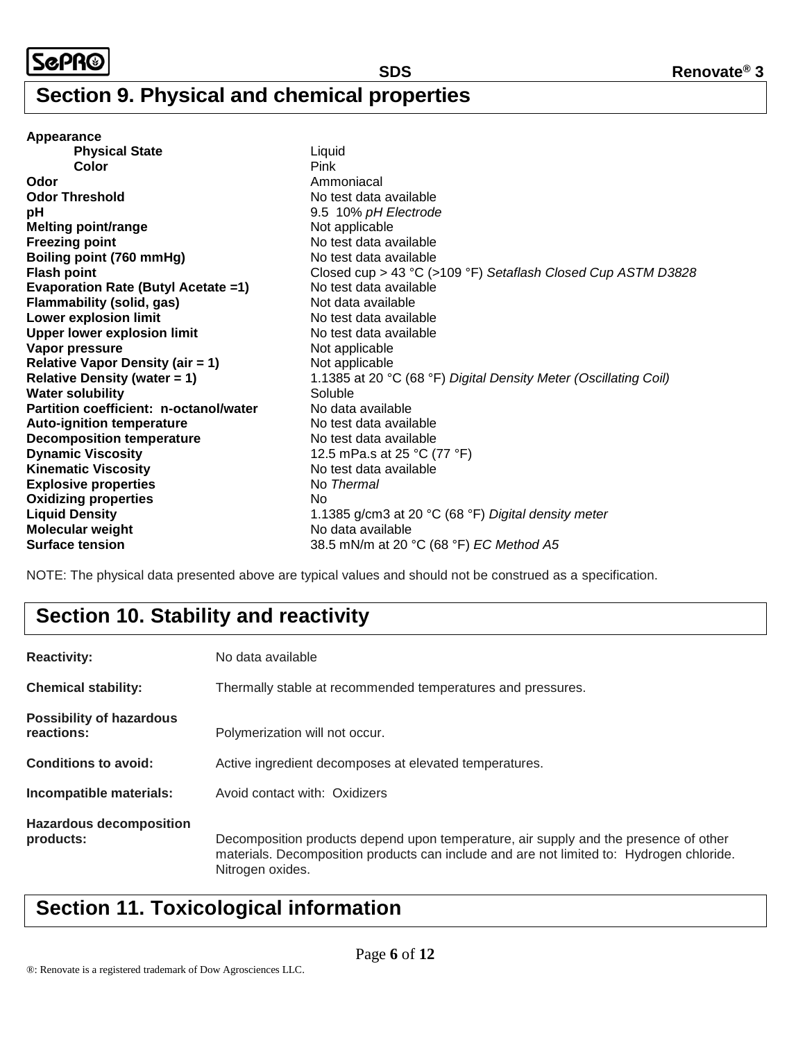#### **Section 9. Physical and chemical properties**

**Appearance Physical State** Liquid **Color** Pink **Odor** Ammoniacal Ammoniacal **Odor Threshold** No test data available **pH** 9.5 10% *pH Electrode* **Melting point/range** Not applicable **Freezing point No test data available Boiling point (760 mmHg)** No test data available **Flash point** Closed cup > 43 °C (>109 °F) *Setaflash Closed Cup ASTM D3828* **Evaporation Rate (Butyl Acetate =1)** No test data available **Flammability (solid, gas)**<br> **Cower explosion limit** No test data available No test data available **Lower explosion limit Upper lower explosion limit** No test data available **Vapor pressure** Not applicable **Relative Vapor Density (air = 1)** Not applicable **Relative Density (water = 1)** 1.1385 at 20 °C (68 °F) *Digital Density Meter (Oscillating Coil)* **Water solubility** Soluble **Partition coefficient: n-octanol/water** No data available **Auto-ignition temperature** No test data available **Decomposition temperature** No test data available **Dynamic Viscosity** 12.5 mPa.s at 25 °C (77 °F) **Kinematic Viscosity** No test data available **Explosive properties** No *Thermal* **Oxidizing properties** No **Liquid Density** 1.1385 g/cm3 at 20 °C (68 °F) *Digital density meter* **Molecular weight** No data available **Surface tension** 38.5 mN/m at 20 °C (68 °F) *EC Method A5*

NOTE: The physical data presented above are typical values and should not be construed as a specification.

## **Section 10. Stability and reactivity**

| <b>Reactivity:</b>                            | No data available                                                                                                                                                                                    |  |
|-----------------------------------------------|------------------------------------------------------------------------------------------------------------------------------------------------------------------------------------------------------|--|
| <b>Chemical stability:</b>                    | Thermally stable at recommended temperatures and pressures.                                                                                                                                          |  |
| <b>Possibility of hazardous</b><br>reactions: | Polymerization will not occur.                                                                                                                                                                       |  |
| <b>Conditions to avoid:</b>                   | Active ingredient decomposes at elevated temperatures.                                                                                                                                               |  |
| Incompatible materials:                       | Avoid contact with: Oxidizers                                                                                                                                                                        |  |
| <b>Hazardous decomposition</b><br>products:   | Decomposition products depend upon temperature, air supply and the presence of other<br>materials. Decomposition products can include and are not limited to: Hydrogen chloride.<br>Nitrogen oxides. |  |

## **Section 11. Toxicological information**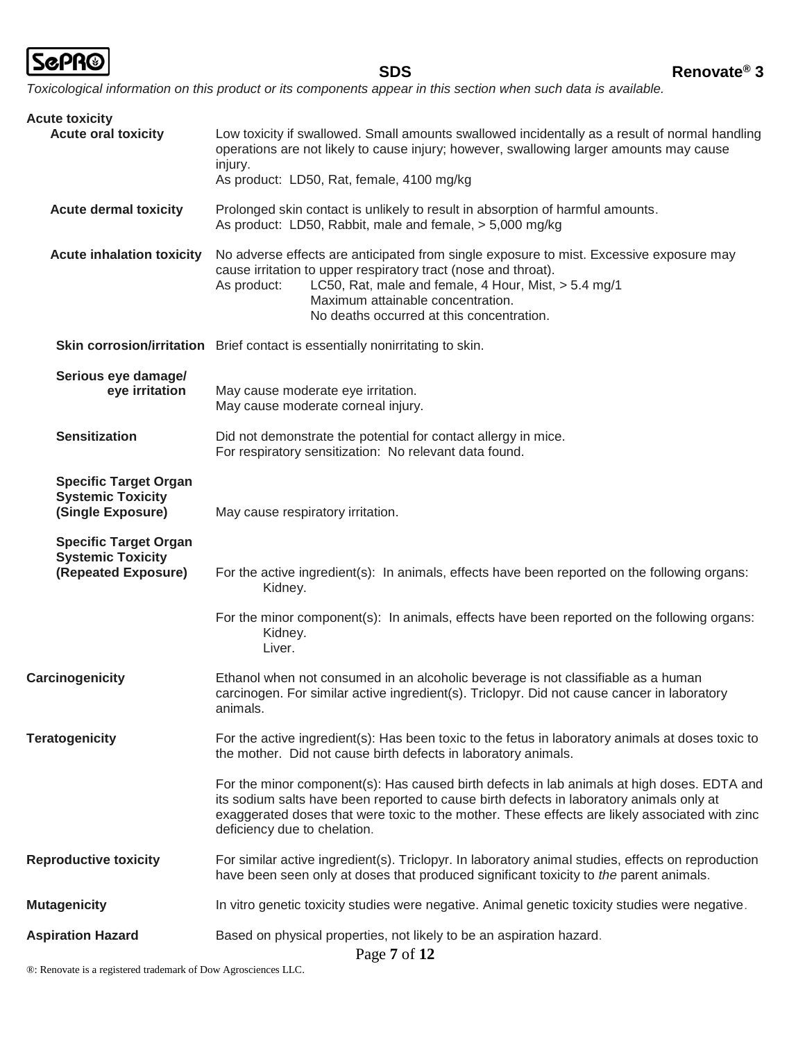

*Toxicological information on this product or its components appear in this section when such data is available.*

| <b>Acute toxicity</b>                                                           |                                                                                                                                                                                                                                                                                                                           |
|---------------------------------------------------------------------------------|---------------------------------------------------------------------------------------------------------------------------------------------------------------------------------------------------------------------------------------------------------------------------------------------------------------------------|
| <b>Acute oral toxicity</b>                                                      | Low toxicity if swallowed. Small amounts swallowed incidentally as a result of normal handling<br>operations are not likely to cause injury; however, swallowing larger amounts may cause<br>injury.                                                                                                                      |
|                                                                                 | As product: LD50, Rat, female, 4100 mg/kg                                                                                                                                                                                                                                                                                 |
| <b>Acute dermal toxicity</b>                                                    | Prolonged skin contact is unlikely to result in absorption of harmful amounts.<br>As product: LD50, Rabbit, male and female, > 5,000 mg/kg                                                                                                                                                                                |
| <b>Acute inhalation toxicity</b>                                                | No adverse effects are anticipated from single exposure to mist. Excessive exposure may<br>cause irritation to upper respiratory tract (nose and throat).<br>LC50, Rat, male and female, 4 Hour, Mist, > 5.4 mg/1<br>As product:<br>Maximum attainable concentration.<br>No deaths occurred at this concentration.        |
|                                                                                 | Skin corrosion/irritation Brief contact is essentially nonirritating to skin.                                                                                                                                                                                                                                             |
| Serious eye damage/<br>eye irritation                                           | May cause moderate eye irritation.<br>May cause moderate corneal injury.                                                                                                                                                                                                                                                  |
| <b>Sensitization</b>                                                            | Did not demonstrate the potential for contact allergy in mice.<br>For respiratory sensitization: No relevant data found.                                                                                                                                                                                                  |
| <b>Specific Target Organ</b><br><b>Systemic Toxicity</b><br>(Single Exposure)   | May cause respiratory irritation.                                                                                                                                                                                                                                                                                         |
| <b>Specific Target Organ</b><br><b>Systemic Toxicity</b><br>(Repeated Exposure) | For the active ingredient(s): In animals, effects have been reported on the following organs:<br>Kidney.                                                                                                                                                                                                                  |
|                                                                                 | For the minor component(s): In animals, effects have been reported on the following organs:<br>Kidney.<br>Liver.                                                                                                                                                                                                          |
| Carcinogenicity                                                                 | Ethanol when not consumed in an alcoholic beverage is not classifiable as a human<br>carcinogen. For similar active ingredient(s). Triclopyr. Did not cause cancer in laboratory<br>animals.                                                                                                                              |
| <b>Teratogenicity</b>                                                           | For the active ingredient(s): Has been toxic to the fetus in laboratory animals at doses toxic to<br>the mother. Did not cause birth defects in laboratory animals.                                                                                                                                                       |
|                                                                                 | For the minor component(s): Has caused birth defects in lab animals at high doses. EDTA and<br>its sodium salts have been reported to cause birth defects in laboratory animals only at<br>exaggerated doses that were toxic to the mother. These effects are likely associated with zinc<br>deficiency due to chelation. |
| <b>Reproductive toxicity</b>                                                    | For similar active ingredient(s). Triclopyr. In laboratory animal studies, effects on reproduction<br>have been seen only at doses that produced significant toxicity to the parent animals.                                                                                                                              |
| <b>Mutagenicity</b>                                                             | In vitro genetic toxicity studies were negative. Animal genetic toxicity studies were negative.                                                                                                                                                                                                                           |
| <b>Aspiration Hazard</b>                                                        | Based on physical properties, not likely to be an aspiration hazard.<br>Page 7 of 12                                                                                                                                                                                                                                      |

®: Renovate is a registered trademark of Dow Agrosciences LLC.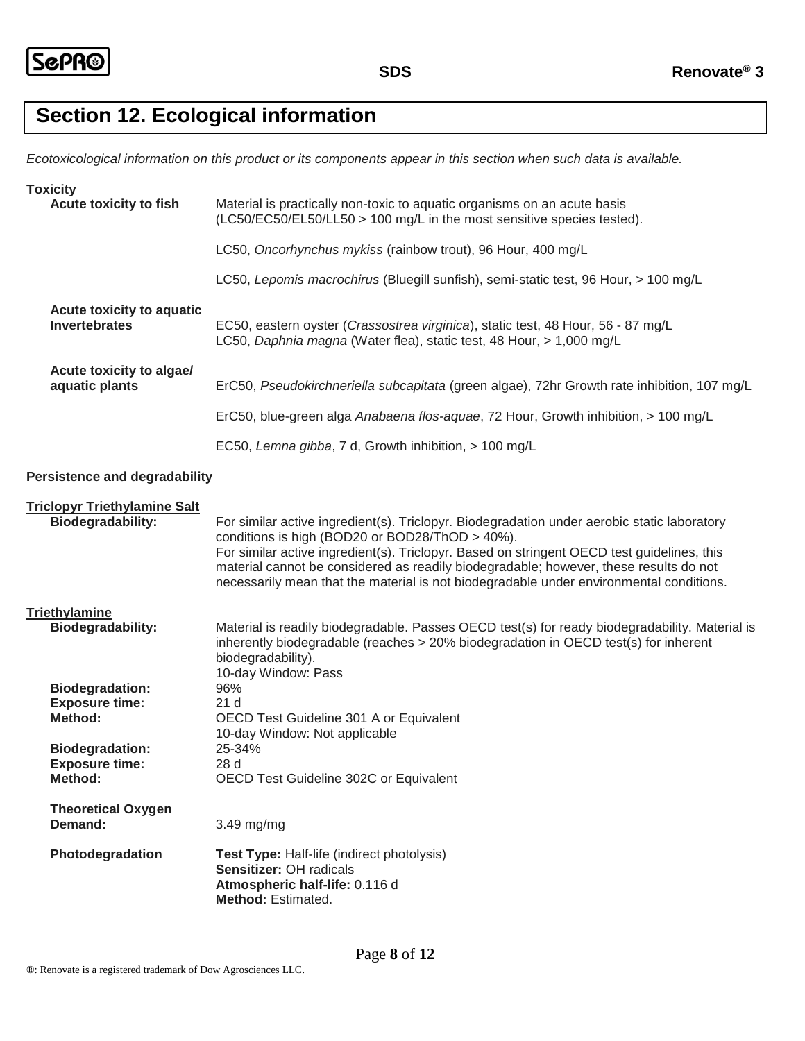## **Section 12. Ecological information**

*Ecotoxicological information on this product or its components appear in this section when such data is available.*

| <b>Toxicity</b>                                            |                                                                                                                                                                                                                                                                                                                                                                                                                                  |
|------------------------------------------------------------|----------------------------------------------------------------------------------------------------------------------------------------------------------------------------------------------------------------------------------------------------------------------------------------------------------------------------------------------------------------------------------------------------------------------------------|
| Acute toxicity to fish                                     | Material is practically non-toxic to aquatic organisms on an acute basis<br>(LC50/EC50/EL50/LL50 > 100 mg/L in the most sensitive species tested).                                                                                                                                                                                                                                                                               |
|                                                            | LC50, Oncorhynchus mykiss (rainbow trout), 96 Hour, 400 mg/L                                                                                                                                                                                                                                                                                                                                                                     |
|                                                            | LC50, Lepomis macrochirus (Bluegill sunfish), semi-static test, 96 Hour, > 100 mg/L                                                                                                                                                                                                                                                                                                                                              |
| Acute toxicity to aquatic<br><b>Invertebrates</b>          | EC50, eastern oyster (Crassostrea virginica), static test, 48 Hour, 56 - 87 mg/L<br>LC50, Daphnia magna (Water flea), static test, 48 Hour, > 1,000 mg/L                                                                                                                                                                                                                                                                         |
| Acute toxicity to algae/<br>aquatic plants                 | ErC50, Pseudokirchneriella subcapitata (green algae), 72hr Growth rate inhibition, 107 mg/L                                                                                                                                                                                                                                                                                                                                      |
|                                                            | ErC50, blue-green alga Anabaena flos-aquae, 72 Hour, Growth inhibition, > 100 mg/L                                                                                                                                                                                                                                                                                                                                               |
|                                                            | EC50, Lemna gibba, 7 d, Growth inhibition, > 100 mg/L                                                                                                                                                                                                                                                                                                                                                                            |
| <b>Persistence and degradability</b>                       |                                                                                                                                                                                                                                                                                                                                                                                                                                  |
| <b>Triclopyr Triethylamine Salt</b><br>Biodegradability:   | For similar active ingredient(s). Triclopyr. Biodegradation under aerobic static laboratory<br>conditions is high (BOD20 or BOD28/ThOD > 40%).<br>For similar active ingredient(s). Triclopyr. Based on stringent OECD test guidelines, this<br>material cannot be considered as readily biodegradable; however, these results do not<br>necessarily mean that the material is not biodegradable under environmental conditions. |
| Triethylamine<br><b>Biodegradability:</b>                  | Material is readily biodegradable. Passes OECD test(s) for ready biodegradability. Material is<br>inherently biodegradable (reaches $>20\%$ biodegradation in OECD test(s) for inherent<br>biodegradability).<br>10-day Window: Pass                                                                                                                                                                                             |
| <b>Biodegradation:</b><br><b>Exposure time:</b><br>Method: | 96%<br>21 <sub>d</sub><br>OECD Test Guideline 301 A or Equivalent<br>10-day Window: Not applicable                                                                                                                                                                                                                                                                                                                               |
| <b>Biodegradation:</b><br><b>Exposure time:</b><br>Method: | 25-34%<br>28 d<br>OECD Test Guideline 302C or Equivalent                                                                                                                                                                                                                                                                                                                                                                         |
| <b>Theoretical Oxygen</b><br>Demand:                       | 3.49 mg/mg                                                                                                                                                                                                                                                                                                                                                                                                                       |
| Photodegradation                                           | <b>Test Type: Half-life (indirect photolysis)</b><br>Sensitizer: OH radicals<br>Atmospheric half-life: 0.116 d<br>Method: Estimated.                                                                                                                                                                                                                                                                                             |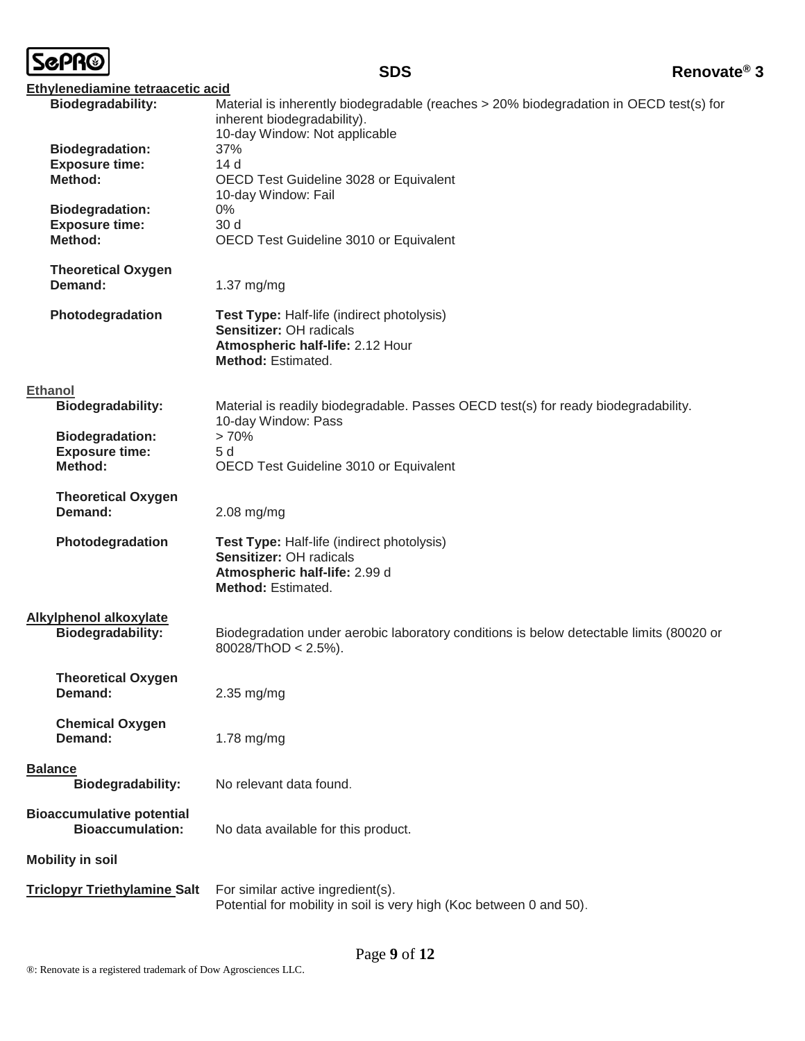|--|

| Ethylenediamine tetraacetic acid                            |                                                                                                                                               |
|-------------------------------------------------------------|-----------------------------------------------------------------------------------------------------------------------------------------------|
| <b>Biodegradability:</b>                                    | Material is inherently biodegradable (reaches > 20% biodegradation in OECD test(s) for<br>inherent biodegradability).                         |
|                                                             | 10-day Window: Not applicable                                                                                                                 |
| <b>Biodegradation:</b><br><b>Exposure time:</b>             | 37%<br>14d                                                                                                                                    |
| Method:                                                     | OECD Test Guideline 3028 or Equivalent                                                                                                        |
|                                                             | 10-day Window: Fail                                                                                                                           |
| <b>Biodegradation:</b>                                      | 0%                                                                                                                                            |
| <b>Exposure time:</b>                                       | 30 <sub>d</sub>                                                                                                                               |
| Method:                                                     | OECD Test Guideline 3010 or Equivalent                                                                                                        |
| <b>Theoretical Oxygen</b>                                   |                                                                                                                                               |
| Demand:                                                     | 1.37 mg/mg                                                                                                                                    |
| Photodegradation                                            | <b>Test Type: Half-life (indirect photolysis)</b><br>Sensitizer: OH radicals<br>Atmospheric half-life: 2.12 Hour<br><b>Method: Estimated.</b> |
| <b>Ethanol</b>                                              |                                                                                                                                               |
| <b>Biodegradability:</b>                                    | Material is readily biodegradable. Passes OECD test(s) for ready biodegradability.<br>10-day Window: Pass                                     |
| <b>Biodegradation:</b>                                      | >70%                                                                                                                                          |
| <b>Exposure time:</b>                                       | 5d                                                                                                                                            |
| Method:                                                     | OECD Test Guideline 3010 or Equivalent                                                                                                        |
| <b>Theoretical Oxygen</b><br>Demand:                        | $2.08$ mg/mg                                                                                                                                  |
| Photodegradation                                            | <b>Test Type: Half-life (indirect photolysis)</b><br>Sensitizer: OH radicals<br>Atmospheric half-life: 2.99 d<br><b>Method: Estimated.</b>    |
| <b>Alkylphenol alkoxylate</b><br>Biodegradability:          | Biodegradation under aerobic laboratory conditions is below detectable limits (80020 or<br>80028/ThOD < $2.5\%$ ).                            |
| <b>Theoretical Oxygen</b><br>Demand:                        | 2.35 mg/mg                                                                                                                                    |
| <b>Chemical Oxygen</b><br>Demand:                           | $1.78$ mg/mg                                                                                                                                  |
| <b>Balance</b>                                              |                                                                                                                                               |
| <b>Biodegradability:</b>                                    | No relevant data found.                                                                                                                       |
| <b>Bioaccumulative potential</b><br><b>Bioaccumulation:</b> | No data available for this product.                                                                                                           |
| <b>Mobility in soil</b>                                     |                                                                                                                                               |
| <b>Triclopyr Triethylamine Salt</b>                         | For similar active ingredient(s).                                                                                                             |
|                                                             | Potential for mobility in soil is very high (Koc between 0 and 50).                                                                           |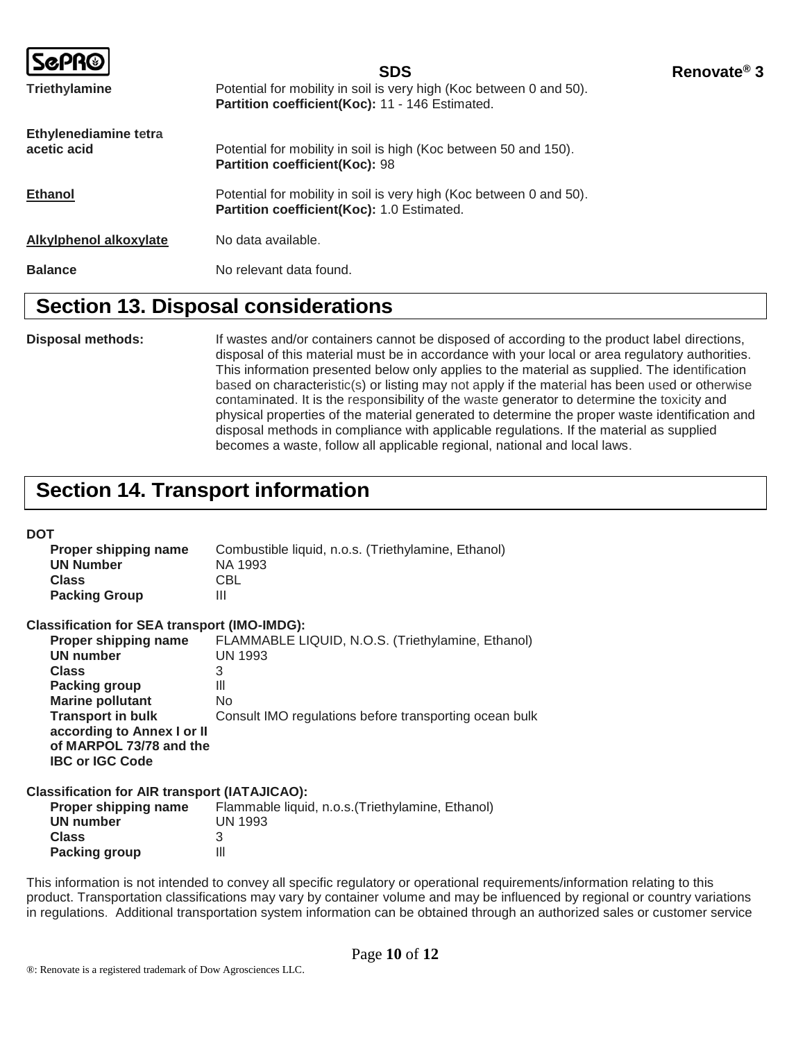|                                      | <b>SDS</b>                                                                                                             | Renovate <sup>®</sup> 3 |
|--------------------------------------|------------------------------------------------------------------------------------------------------------------------|-------------------------|
| <b>Triethylamine</b>                 | Potential for mobility in soil is very high (Koc between 0 and 50).<br>Partition coefficient(Koc): 11 - 146 Estimated. |                         |
| Ethylenediamine tetra<br>acetic acid | Potential for mobility in soil is high (Koc between 50 and 150).<br>Partition coefficient(Koc): 98                     |                         |
| <b>Ethanol</b>                       | Potential for mobility in soil is very high (Koc between 0 and 50).<br>Partition coefficient(Koc): 1.0 Estimated.      |                         |
| Alkylphenol alkoxylate               | No data available.                                                                                                     |                         |
| <b>Balance</b>                       | No relevant data found.                                                                                                |                         |

#### **Section 13. Disposal considerations**

**Disposal methods:** If wastes and/or containers cannot be disposed of according to the product label directions, disposal of this material must be in accordance with your local or area regulatory authorities. This information presented below only applies to the material as supplied. The identification based on characteristic(s) or listing may not apply if the material has been used or otherwise contaminated. It is the responsibility of the waste generator to determine the toxicity and physical properties of the material generated to determine the proper waste identification and disposal methods in compliance with applicable regulations. If the material as supplied becomes a waste, follow all applicable regional, national and local laws.

## **Section 14. Transport information**

#### **DOT**

| Proper shipping name<br><b>UN Number</b> | Combustible liquid, n.o.s. (Triethylamine, Ethanol)<br>NA 1993 |
|------------------------------------------|----------------------------------------------------------------|
| <b>Class</b>                             | CBL                                                            |
| <b>Packing Group</b>                     | Ш                                                              |

| <b>Classification for SEA transport (IMO-IMDG):</b>                             |                                                        |
|---------------------------------------------------------------------------------|--------------------------------------------------------|
| Proper shipping name                                                            | FLAMMABLE LIQUID, N.O.S. (Triethylamine, Ethanol)      |
| <b>UN number</b>                                                                | <b>UN 1993</b>                                         |
| <b>Class</b>                                                                    | 3                                                      |
| <b>Packing group</b>                                                            | Ш                                                      |
| <b>Marine pollutant</b>                                                         | No                                                     |
| <b>Transport in bulk</b>                                                        | Consult IMO regulations before transporting ocean bulk |
| according to Annex I or II<br>of MARPOL 73/78 and the<br><b>IBC or IGC Code</b> |                                                        |
|                                                                                 |                                                        |

#### **Classification for AIR transport (IATAJICAO):**

| Flammable liquid, n.o.s. (Triethylamine, Ethanol) |
|---------------------------------------------------|
| <b>UN 1993</b>                                    |
|                                                   |
| Ш                                                 |
|                                                   |

This information is not intended to convey all specific regulatory or operational requirements/information relating to this product. Transportation classifications may vary by container volume and may be influenced by regional or country variations in regulations. Additional transportation system information can be obtained through an authorized sales or customer service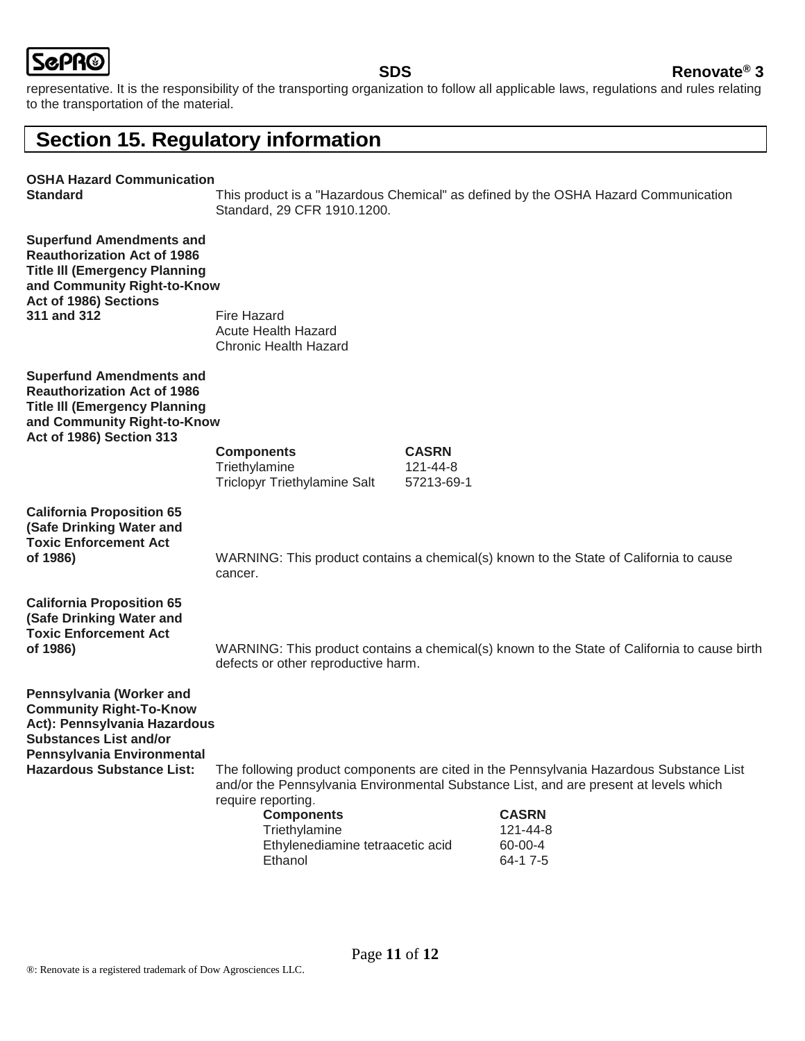

#### **SDS Renovate® 3**

representative. It is the responsibility of the transporting organization to follow all applicable laws, regulations and rules relating to the transportation of the material.

## **Section 15. Regulatory information**

#### **OSHA Hazard Communication**

**Standard** This product is a "Hazardous Chemical" as defined by the OSHA Hazard Communication Standard, 29 CFR 1910.1200.

| <b>Superfund Amendments and</b><br><b>Reauthorization Act of 1986</b><br><b>Title III (Emergency Planning</b><br>and Community Right-to-Know<br>Act of 1986) Sections<br>311 and 312 | <b>Fire Hazard</b><br><b>Acute Health Hazard</b><br><b>Chronic Health Hazard</b>                        |                                        |                                                                                                                                                                                                                                     |
|--------------------------------------------------------------------------------------------------------------------------------------------------------------------------------------|---------------------------------------------------------------------------------------------------------|----------------------------------------|-------------------------------------------------------------------------------------------------------------------------------------------------------------------------------------------------------------------------------------|
| <b>Superfund Amendments and</b><br><b>Reauthorization Act of 1986</b><br><b>Title III (Emergency Planning</b><br>and Community Right-to-Know<br><b>Act of 1986) Section 313</b>      |                                                                                                         |                                        |                                                                                                                                                                                                                                     |
|                                                                                                                                                                                      | <b>Components</b><br>Triethylamine<br>Triclopyr Triethylamine Salt                                      | <b>CASRN</b><br>121-44-8<br>57213-69-1 |                                                                                                                                                                                                                                     |
| <b>California Proposition 65</b><br>(Safe Drinking Water and<br><b>Toxic Enforcement Act</b><br>of 1986)                                                                             | cancer.                                                                                                 |                                        | WARNING: This product contains a chemical(s) known to the State of California to cause                                                                                                                                              |
| <b>California Proposition 65</b><br>(Safe Drinking Water and<br><b>Toxic Enforcement Act</b><br>of 1986)                                                                             | defects or other reproductive harm.                                                                     |                                        | WARNING: This product contains a chemical(s) known to the State of California to cause birth                                                                                                                                        |
| Pennsylvania (Worker and<br><b>Community Right-To-Know</b><br>Act): Pennsylvania Hazardous<br><b>Substances List and/or</b><br>Pennsylvania Environmental                            |                                                                                                         |                                        |                                                                                                                                                                                                                                     |
| <b>Hazardous Substance List:</b>                                                                                                                                                     | require reporting.<br><b>Components</b><br>Triethylamine<br>Ethylenediamine tetraacetic acid<br>Ethanol |                                        | The following product components are cited in the Pennsylvania Hazardous Substance List<br>and/or the Pennsylvania Environmental Substance List, and are present at levels which<br><b>CASRN</b><br>121-44-8<br>60-00-4<br>64-1 7-5 |